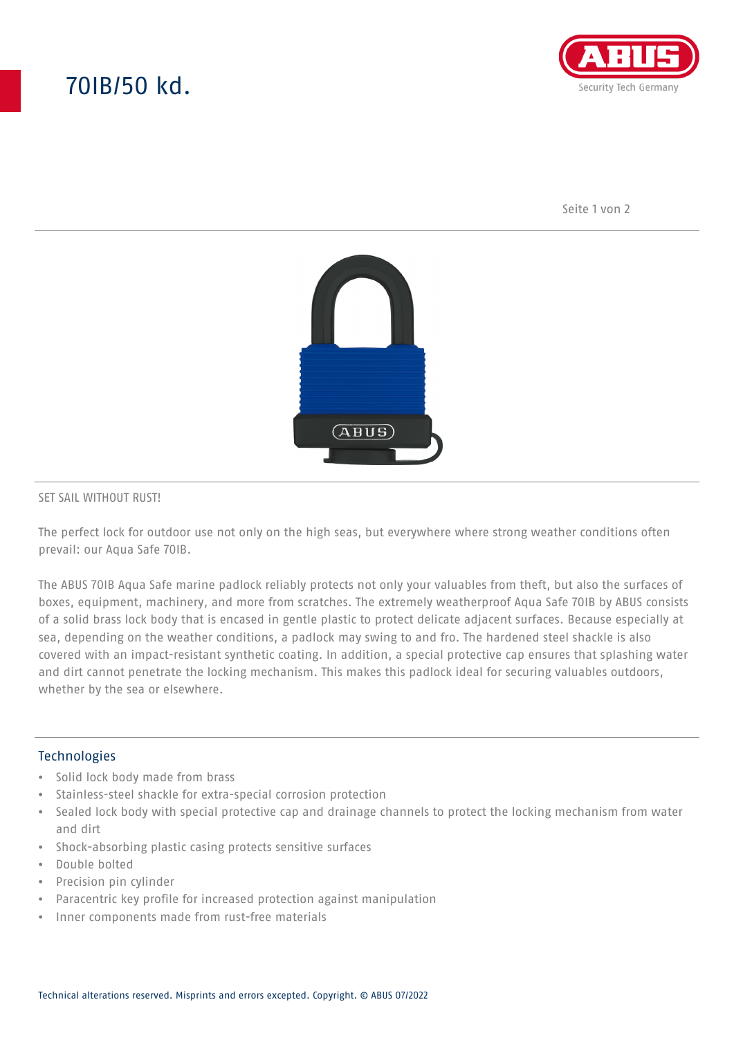# 70IB/50 kd.



Seite 1 von 2



#### SET SAIL WITHOUT RUST!

The perfect lock for outdoor use not only on the high seas, but everywhere where strong weather conditions often prevail: our Aqua Safe 70IB.

The ABUS 70IB Aqua Safe marine padlock reliably protects not only your valuables from theft, but also the surfaces of boxes, equipment, machinery, and more from scratches. The extremely weatherproof Aqua Safe 70IB by ABUS consists of a solid brass lock body that is encased in gentle plastic to protect delicate adjacent surfaces. Because especially at sea, depending on the weather conditions, a padlock may swing to and fro. The hardened steel shackle is also covered with an impact-resistant synthetic coating. In addition, a special protective cap ensures that splashing water and dirt cannot penetrate the locking mechanism. This makes this padlock ideal for securing valuables outdoors, whether by the sea or elsewhere.

### Technologies

- Solid lock body made from brass
- Stainless-steel shackle for extra-special corrosion protection
- Sealed lock body with special protective cap and drainage channels to protect the locking mechanism from water and dirt
- Shock-absorbing plastic casing protects sensitive surfaces
- Double bolted
- Precision pin cylinder
- Paracentric key profile for increased protection against manipulation
- Inner components made from rust-free materials